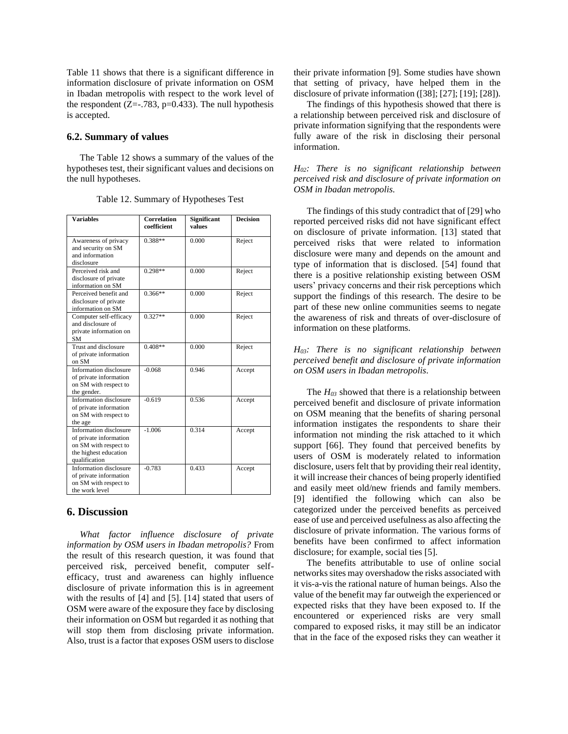Table 11 shows that there is a significant difference in information disclosure of private information on OSM in Ibadan metropolis with respect to the work level of the respondent  $(Z=-.783, p=0.433)$ . The null hypothesis is accepted.

#### **6.2. Summary of values**

The Table 12 shows a summary of the values of the hypotheses test, their significant values and decisions on the null hypotheses.

| Variables                                                                                                           | <b>Correlation</b><br>coefficient | <b>Significant</b><br>values | <b>Decision</b> |
|---------------------------------------------------------------------------------------------------------------------|-----------------------------------|------------------------------|-----------------|
| Awareness of privacy<br>and security on SM<br>and information<br>disclosure                                         | $0.388**$                         | 0.000                        | Reject          |
| Perceived risk and<br>disclosure of private<br>information on SM                                                    | $0.298**$                         | 0.000                        | Reject          |
| Perceived benefit and<br>disclosure of private<br>information on SM                                                 | $0.366**$                         | 0.000                        | Reject          |
| Computer self-efficacy<br>and disclosure of<br>private information on<br><b>SM</b>                                  | $0.327**$                         | 0.000                        | Reject          |
| Trust and disclosure<br>of private information<br>on SM                                                             | $0.408**$                         | 0.000                        | Reject          |
| Information disclosure<br>of private information<br>on SM with respect to<br>the gender.                            | $-0.068$                          | 0.946                        | Accept          |
| Information disclosure<br>of private information<br>on SM with respect to<br>the age                                | $-0.619$                          | 0.536                        | Accept          |
| Information disclosure<br>of private information<br>on SM with respect to<br>the highest education<br>qualification | $-1.006$                          | 0.314                        | Accept          |
| Information disclosure<br>of private information<br>on SM with respect to<br>the work level                         | $-0.783$                          | 0.433                        | Accept          |

Table 12. Summary of Hypotheses Test

# **6. Discussion**

*What factor influence disclosure of private information by OSM users in Ibadan metropolis?* From the result of this research question, it was found that perceived risk, perceived benefit, computer selfefficacy, trust and awareness can highly influence disclosure of private information this is in agreement with the results of [4] and [5]. [14] stated that users of OSM were aware of the exposure they face by disclosing their information on OSM but regarded it as nothing that will stop them from disclosing private information. Also, trust is a factor that exposes OSM users to disclose

their private information [9]. Some studies have shown that setting of privacy, have helped them in the disclosure of private information ([38]; [27]; [19]; [28]).

The findings of this hypothesis showed that there is a relationship between perceived risk and disclosure of private information signifying that the respondents were fully aware of the risk in disclosing their personal information.

### *H02: There is no significant relationship between perceived risk and disclosure of private information on OSM in Ibadan metropolis.*

The findings of this study contradict that of [29] who reported perceived risks did not have significant effect on disclosure of private information. [13] stated that perceived risks that were related to information disclosure were many and depends on the amount and type of information that is disclosed. [54] found that there is a positive relationship existing between OSM users' privacy concerns and their risk perceptions which support the findings of this research. The desire to be part of these new online communities seems to negate the awareness of risk and threats of over-disclosure of information on these platforms.

#### *H03: There is no significant relationship between perceived benefit and disclosure of private information on OSM users in Ibadan metropolis.*

The  $H_{03}$  showed that there is a relationship between perceived benefit and disclosure of private information on OSM meaning that the benefits of sharing personal information instigates the respondents to share their information not minding the risk attached to it which support [66]. They found that perceived benefits by users of OSM is moderately related to information disclosure, users felt that by providing their real identity, it will increase their chances of being properly identified and easily meet old/new friends and family members. [9] identified the following which can also be categorized under the perceived benefits as perceived ease of use and perceived usefulness as also affecting the disclosure of private information. The various forms of benefits have been confirmed to affect information disclosure; for example, social ties [5].

The benefits attributable to use of online social networks sites may overshadow the risks associated with it vis-a-vis the rational nature of human beings. Also the value of the benefit may far outweigh the experienced or expected risks that they have been exposed to. If the encountered or experienced risks are very small compared to exposed risks, it may still be an indicator that in the face of the exposed risks they can weather it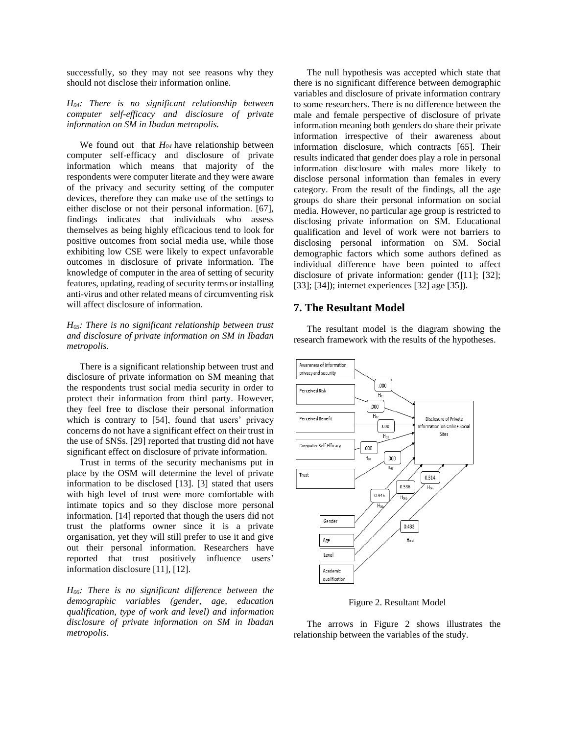successfully, so they may not see reasons why they should not disclose their information online.

*H04: There is no significant relationship between computer self-efficacy and disclosure of private information on SM in Ibadan metropolis.*

We found out that *H<sup>04</sup>* have relationship between computer self-efficacy and disclosure of private information which means that majority of the respondents were computer literate and they were aware of the privacy and security setting of the computer devices, therefore they can make use of the settings to either disclose or not their personal information. [67], findings indicates that individuals who assess themselves as being highly efficacious tend to look for positive outcomes from social media use, while those exhibiting low CSE were likely to expect unfavorable outcomes in disclosure of private information. The knowledge of computer in the area of setting of security features, updating, reading of security terms or installing anti-virus and other related means of circumventing risk will affect disclosure of information.

*H05: There is no significant relationship between trust and disclosure of private information on SM in Ibadan metropolis.*

There is a significant relationship between trust and disclosure of private information on SM meaning that the respondents trust social media security in order to protect their information from third party. However, they feel free to disclose their personal information which is contrary to [54], found that users' privacy concerns do not have a significant effect on their trust in the use of SNSs. [29] reported that trusting did not have significant effect on disclosure of private information.

Trust in terms of the security mechanisms put in place by the OSM will determine the level of private information to be disclosed [13]. [3] stated that users with high level of trust were more comfortable with intimate topics and so they disclose more personal information. [14] reported that though the users did not trust the platforms owner since it is a private organisation, yet they will still prefer to use it and give out their personal information. Researchers have reported that trust positively influence users' information disclosure [11], [12].

*H06: There is no significant difference between the demographic variables (gender, age, education qualification, type of work and level) and information disclosure of private information on SM in Ibadan metropolis.*

The null hypothesis was accepted which state that there is no significant difference between demographic variables and disclosure of private information contrary to some researchers. There is no difference between the male and female perspective of disclosure of private information meaning both genders do share their private information irrespective of their awareness about information disclosure, which contracts [65]. Their results indicated that gender does play a role in personal information disclosure with males more likely to disclose personal information than females in every category. From the result of the findings, all the age groups do share their personal information on social media. However, no particular age group is restricted to disclosing private information on SM. Educational qualification and level of work were not barriers to disclosing personal information on SM. Social demographic factors which some authors defined as individual difference have been pointed to affect disclosure of private information: gender ([11]; [32]; [33]; [34]); internet experiences [32] age [35]).

### **7. The Resultant Model**

The resultant model is the diagram showing the research framework with the results of the hypotheses.



Figure 2. Resultant Model

The arrows in Figure 2 shows illustrates the relationship between the variables of the study.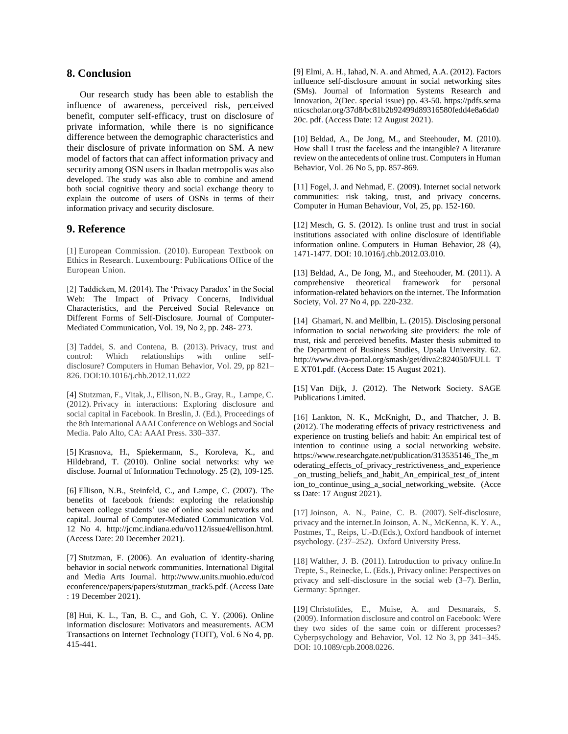## **8. Conclusion**

Our research study has been able to establish the influence of awareness, perceived risk, perceived benefit, computer self-efficacy, trust on disclosure of private information, while there is no significance difference between the demographic characteristics and their disclosure of private information on SM. A new model of factors that can affect information privacy and security among OSN users in Ibadan metropolis was also developed. The study was also able to combine and amend both social cognitive theory and social exchange theory to explain the outcome of users of OSNs in terms of their information privacy and security disclosure.

## **9. Reference**

[1] European Commission. (2010). European Textbook on Ethics in Research. Luxembourg: Publications Office of the European Union.

[2] Taddicken, M. (2014). The 'Privacy Paradox' in the Social Web: The Impact of Privacy Concerns, Individual Characteristics, and the Perceived Social Relevance on Different Forms of Self-Disclosure. Journal of Computer-Mediated Communication, Vol. 19, No 2, pp. 248- 273.

[3] Taddei, S. and Contena, B. (2013). Privacy, trust and control: Which relationships with online selfdisclosure? Computers in Human Behavior, Vol. 29, pp 821– 826. DOI:10.1016/j.chb.2012.11.022

[4] Stutzman, F., Vitak, J., Ellison, N. B., Gray, R., Lampe, C. (2012). Privacy in interactions: Exploring disclosure and social capital in Facebook. In Breslin, J. (Ed.), Proceedings of the 8th International AAAI Conference on Weblogs and Social Media. Palo Alto, CA: AAAI Press. 330–337.

[5] Krasnova, H., Spiekermann, S., Koroleva, K., and Hildebrand, T. (2010). Online social networks: why we disclose. Journal of Information Technology. 25 (2), 109-125.

[6] Ellison, N.B., Steinfeld, C., and Lampe, C. (2007). The benefits of facebook friends: exploring the relationship between college students' use of online social networks and capital. Journal of Computer-Mediated Communication Vol. 12 No 4. http://jcmc.indiana.edu/vo112/issue4/ellison.html. (Access Date: 20 December 2021).

[7] Stutzman, F. (2006). An evaluation of identity-sharing behavior in social network communities. International Digital and Media Arts Journal. http://www.units.muohio.edu/cod econference/papers/papers/stutzman\_track5.pdf. (Access Date : 19 December 2021).

[8] Hui, K. L., Tan, B. C., and Goh, C. Y. (2006). Online information disclosure: Motivators and measurements. ACM Transactions on Internet Technology (TOIT), Vol. 6 No 4, pp. 415-441.

[9] Elmi, A. H., Iahad, N. A. and Ahmed, A.A. (2012). Factors influence self-disclosure amount in social networking sites (SMs). Journal of Information Systems Research and Innovation, 2(Dec. special issue) pp. 43-50. https://pdfs.sema nticscholar.org/37d8/bc81b2b92499d89316580fedd4e8a6da0 20c. pdf. (Access Date: 12 August 2021).

[10] Beldad, A., De Jong, M., and Steehouder, M. (2010). How shall I trust the faceless and the intangible? A literature review on the antecedents of online trust. Computers in Human Behavior, Vol. 26 No 5, pp. 857-869.

[11] Fogel, J. and Nehmad, E. (2009). Internet social network communities: risk taking, trust, and privacy concerns. Computer in Human Behaviour, Vol, 25, pp. 152-160.

[12] Mesch, G. S. (2012). Is online trust and trust in social institutions associated with online disclosure of identifiable information online. Computers in Human Behavior, 28 (4), 1471-1477[. DOI: 10.1016/j.chb.2012.03.010.](https://doi.org/10.1016/j.chb.2012.03.010)

[13] Beldad, A., De Jong, M., and Steehouder, M. (2011). A comprehensive theoretical framework for personal information-related behaviors on the internet. The Information Society, Vol. 27 No 4, pp. 220-232.

[14] Ghamari, N. and Mellbin, L. (2015). Disclosing personal information to social networking site providers: the role of trust, risk and perceived benefits. Master thesis submitted to the Department of Business Studies, Upsala University. 62. http://www.diva-portal.org/smash/get/diva2:824050/FULL T E XT01.pdf. (Access Date: 15 August 2021).

[15] Van Dijk, J. (2012). The Network Society. SAGE Publications Limited.

[16] Lankton, N. K., McKnight, D., and Thatcher, J. B. (2012). The moderating effects of privacy restrictiveness and experience on trusting beliefs and habit: An empirical test of intention to continue using a social networking website. https://www.researchgate.net/publication/313535146\_The\_m oderating\_effects\_of\_privacy\_restrictiveness\_and\_experience \_on\_trusting\_beliefs\_and\_habit\_An\_empirical\_test\_of\_intent ion\_to\_continue\_using\_a\_social\_networking\_website. (Acce ss Date: 17 August 2021).

[17] Joinson, A. N., Paine, C. B. (2007). Self-disclosure, privacy and the internet.In Joinson, A. N., McKenna, K. Y. A., Postmes, T., Reips, U.-D.(Eds.), Oxford handbook of internet psychology. (237–252). Oxford University Press.

[18] Walther, J. B. (2011). Introduction to privacy online.In Trepte, S., Reinecke, L. (Eds.), Privacy online: Perspectives on privacy and self-disclosure in the social web (3–7). Berlin, Germany: Springer.

[19] Christofides, E., Muise, A. and Desmarais, S. (2009). Information disclosure and control on Facebook: Were they two sides of the same coin or different processes? Cyberpsychology and Behavior, Vol. 12 No 3, pp 341–345. DOI: 10.1089/cpb.2008.0226.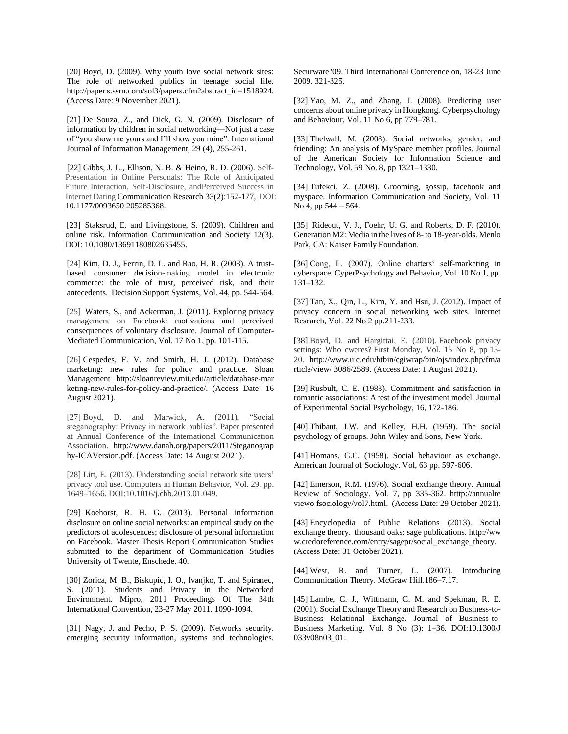[20] Boyd, D. (2009). Why youth love social network sites: The role of networked publics in teenage social life. http://paper s.ssrn.com/sol3/papers.cfm?abstract\_id=1518924. (Access Date: 9 November 2021).

[21] De Souza, Z., and Dick, G. N. (2009). Disclosure of information by children in social networking—Not just a case of "you show me yours and I'll show you mine". International Journal of Information Management, 29 (4), 255-261.

[22] [Gibbs,](https://journals.sagepub.com/doi/10.1177/0093650205285368) J. L., [Ellison,](https://journals.sagepub.com/doi/10.1177/0093650205285368) N. B. & [Heino,](https://journals.sagepub.com/doi/10.1177/0093650205285368) R. D. (2006). Self-Presentation in Online Personals: The Role of Anticipated Future Interaction, Self-Disclosure, andPerceived Success in Internet Dating Communication Research 33(2):152-177, DOI: 10.1177/0093650 205285368.

[23] Staksrud, E. and Livingstone, S. (2009). Children and online risk. Information Communication and Society 12(3). DOI: 10.1080/13691180802635455.

[24] Kim, D. J., Ferrin, D. L. and Rao, H. R. (2008). A trustbased consumer decision-making model in electronic commerce: the role of trust, perceived risk, and their antecedents. Decision Support Systems, Vol. 44, pp. 544-564.

[25] Waters, S., and Ackerman, J. (2011). Exploring privacy management on Facebook: motivations and perceived consequences of voluntary disclosure. Journal of Computer‐ Mediated Communication, Vol. 17 No 1, pp. 101-115.

[26] Cespedes, F. V. and Smith, H. J. (2012). Database marketing: new rules for policy and practice. Sloan Management http://sloanreview.mit.edu/article/database-mar keting-new-rules-for-policy-and-practice/. (Access Date: 16 August 2021).

[27] Boyd, D. and Marwick, A. (2011). "Social steganography: Privacy in network publics". Paper presented at Annual Conference of the International Communication Association. http://www.danah.org/papers/2011/Steganograp hy-ICAVersion.pdf. (Access Date: 14 August 2021).

[28] Litt, E. (2013). Understanding social network site users' privacy tool use. Computers in Human Behavior, Vol. 29, pp. 1649–1656. DOI:10.1016/j.chb.2013.01.049.

[29] Koehorst, R. H. G. (2013). Personal information disclosure on online social networks: an empirical study on the predictors of adolescences; disclosure of personal information on Facebook. Master Thesis Report Communication Studies submitted to the department of Communication Studies University of Twente, Enschede. 40.

[30] Zorica, M. B., Biskupic, I. O., Ivanjko, T. and Spiranec, S. (2011). Students and Privacy in the Networked Environment. Mipro, 2011 Proceedings Of The 34th International Convention, 23-27 May 2011. 1090-1094.

[31] Nagy, J. and Pecho, P. S. (2009). Networks security. emerging security information, systems and technologies. Securware '09. Third International Conference on, 18-23 June 2009. 321-325.

[32] Yao, M. Z., and Zhang, J. (2008). Predicting user concerns about online privacy in Hongkong. Cyberpsychology and Behaviour, Vol. 11 No 6, pp 779–781.

[33] Thelwall, M. (2008). Social networks, gender, and friending: An analysis of MySpace member profiles. Journal of the American Society for Information Science and Technology, Vol. 59 No. 8, pp 1321–1330.

[34] Tufekci, Z. (2008). Grooming, gossip, facebook and myspace. Information Communication and Society, Vol. 11 No 4, pp 544 – 564.

[35] Rideout, V. J., Foehr, U. G. and Roberts, D. F. (2010). Generation M2: Media in the lives of 8- to 18-year-olds. Menlo Park, CA: Kaiser Family Foundation.

[36] Cong, L. (2007). Online chatters' self-marketing in cyberspace. CyperPsychology and Behavior, Vol. 10 No 1, pp. 131–132.

[37] Tan, X., Qin, L., Kim, Y. and Hsu, J. (2012). Impact of privacy concern in social networking web sites. Internet Research, Vol. 22 No 2 pp.211-233.

[38] Boyd, D. and Hargittai, E. (2010). Facebook privacy settings: Who cweres? First Monday, Vol. 15 No 8, pp 13- 20. http://www.uic.edu/htbin/cgiwrap/bin/ojs/index.php/fm/a rticle/view/ 3086/2589. (Access Date: 1 August 2021).

[39] Rusbult, C. E. (1983). Commitment and satisfaction in romantic associations: A test of the investment model. Journal of Experimental Social Psychology, 16, 172-186.

[40] Thibaut, J.W. and Kelley, H.H. (1959). The social psychology of groups. John Wiley and Sons, New York.

[41] Homans, G.C. (1958). Social behaviour as exchange. American Journal of Sociology. Vol, 63 pp. 597-606.

[42] Emerson, R.M. (1976). Social exchange theory. Annual Review of Sociology. Vol. 7, pp 335-362. htttp://annualre viewo fsociology/vol7.html. (Access Date: 29 October 2021).

[43] Encyclopedia of Public Relations (2013). Social exchange theory. thousand oaks: sage publications. http://ww w.credoreference.com/entry/sagepr/social\_exchange\_theory. (Access Date: 31 October 2021).

[44] West, R. and Turner, L. (2007). Introducing Communication Theory. McGraw Hill.186–7.17.

[45] Lambe, C. J., Wittmann, C. M. and Spekman, R. E. (2001). Social Exchange Theory and Research on Business-to-Business Relational Exchange. Journal of Business-to-Business Marketing. Vol. 8 No (3): 1–36. DOI:10.1300/J 033v08n03\_01.